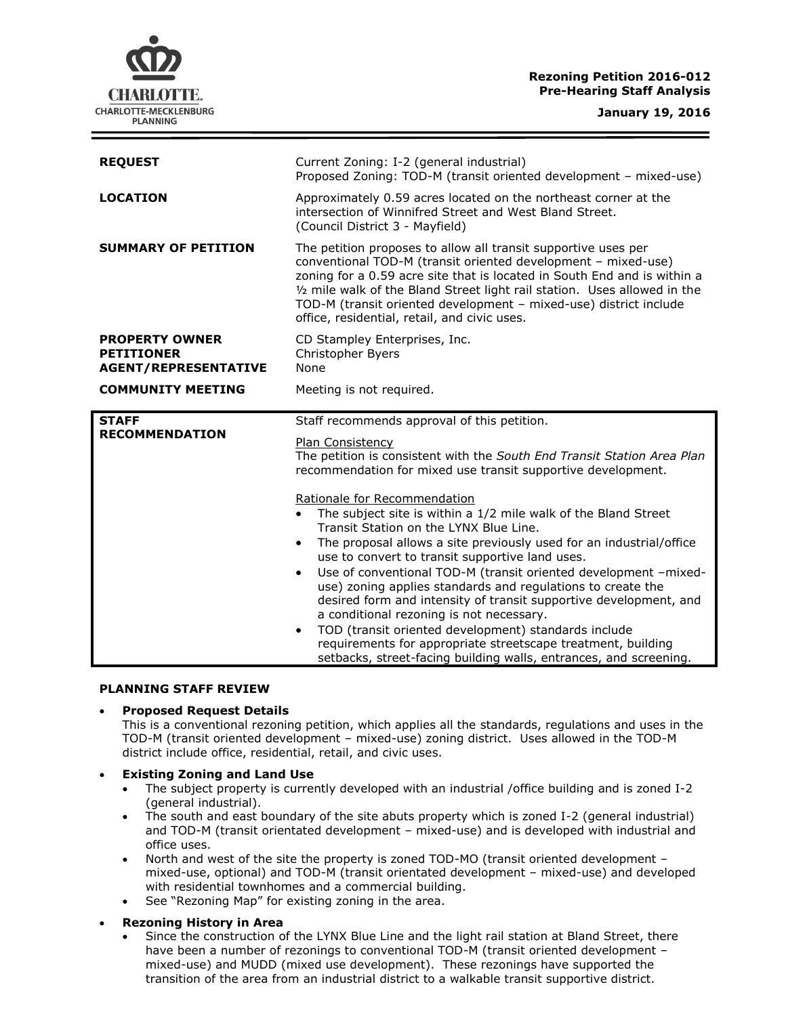# **Rezoning Petition 2016-012 Pre-Hearing Staff Analysis**

CHARLOTTE. CHARLOTTE-MECKLENBURG **PLANNING** 

**January 19, 2016**

| <b>REQUEST</b>                                                            | Current Zoning: I-2 (general industrial)<br>Proposed Zoning: TOD-M (transit oriented development - mixed-use)                                                                                                                                                                                                                                                                                                 |
|---------------------------------------------------------------------------|---------------------------------------------------------------------------------------------------------------------------------------------------------------------------------------------------------------------------------------------------------------------------------------------------------------------------------------------------------------------------------------------------------------|
| <b>LOCATION</b>                                                           | Approximately 0.59 acres located on the northeast corner at the<br>intersection of Winnifred Street and West Bland Street.<br>(Council District 3 - Mayfield)                                                                                                                                                                                                                                                 |
| <b>SUMMARY OF PETITION</b>                                                | The petition proposes to allow all transit supportive uses per<br>conventional TOD-M (transit oriented development - mixed-use)<br>zoning for a 0.59 acre site that is located in South End and is within a<br>1/2 mile walk of the Bland Street light rail station. Uses allowed in the<br>TOD-M (transit oriented development - mixed-use) district include<br>office, residential, retail, and civic uses. |
| <b>PROPERTY OWNER</b><br><b>PETITIONER</b><br><b>AGENT/REPRESENTATIVE</b> | CD Stampley Enterprises, Inc.<br>Christopher Byers<br>None                                                                                                                                                                                                                                                                                                                                                    |
| <b>COMMUNITY MEETING</b>                                                  | Meeting is not required.                                                                                                                                                                                                                                                                                                                                                                                      |
|                                                                           |                                                                                                                                                                                                                                                                                                                                                                                                               |
| <b>STAFF</b>                                                              | Staff recommends approval of this petition.                                                                                                                                                                                                                                                                                                                                                                   |
| <b>RECOMMENDATION</b>                                                     | Plan Consistency<br>The petition is consistent with the South End Transit Station Area Plan<br>recommendation for mixed use transit supportive development.                                                                                                                                                                                                                                                   |
|                                                                           | Rationale for Recommendation                                                                                                                                                                                                                                                                                                                                                                                  |
|                                                                           | The subject site is within a 1/2 mile walk of the Bland Street<br>$\bullet$<br>Transit Station on the LYNX Blue Line.                                                                                                                                                                                                                                                                                         |
|                                                                           | The proposal allows a site previously used for an industrial/office<br>$\bullet$                                                                                                                                                                                                                                                                                                                              |
|                                                                           | use to convert to transit supportive land uses.<br>Use of conventional TOD-M (transit oriented development -mixed-<br>$\bullet$<br>use) zoning applies standards and regulations to create the<br>desired form and intensity of transit supportive development, and<br>a conditional rezoning is not necessary.<br>TOD (transit oriented development) standards include                                       |

#### **PLANNING STAFF REVIEW**

# **Proposed Request Details**

This is a conventional rezoning petition, which applies all the standards, regulations and uses in the TOD-M (transit oriented development – mixed-use) zoning district. Uses allowed in the TOD-M district include office, residential, retail, and civic uses.

# **Existing Zoning and Land Use**

- The subject property is currently developed with an industrial /office building and is zoned I-2 (general industrial).
- The south and east boundary of the site abuts property which is zoned I-2 (general industrial) and TOD-M (transit orientated development – mixed-use) and is developed with industrial and office uses.
- North and west of the site the property is zoned TOD-MO (transit oriented development mixed-use, optional) and TOD-M (transit orientated development – mixed-use) and developed with residential townhomes and a commercial building.
- See "Rezoning Map" for existing zoning in the area.
- **Rezoning History in Area**
	- Since the construction of the LYNX Blue Line and the light rail station at Bland Street, there have been a number of rezonings to conventional TOD-M (transit oriented development – mixed-use) and MUDD (mixed use development). These rezonings have supported the transition of the area from an industrial district to a walkable transit supportive district.